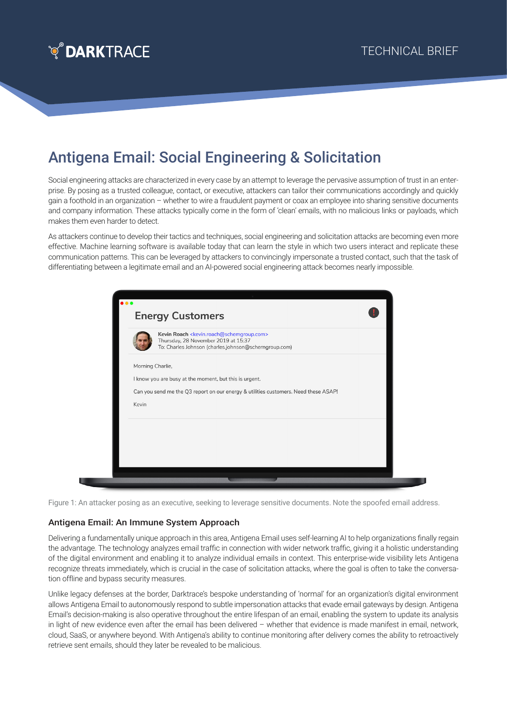

## Antigena Email: Social Engineering & Solicitation

Social engineering attacks are characterized in every case by an attempt to leverage the pervasive assumption of trust in an enterprise. By posing as a trusted colleague, contact, or executive, attackers can tailor their communications accordingly and quickly gain a foothold in an organization – whether to wire a fraudulent payment or coax an employee into sharing sensitive documents and company information. These attacks typically come in the form of 'clean' emails, with no malicious links or payloads, which makes them even harder to detect.

As attackers continue to develop their tactics and techniques, social engineering and solicitation attacks are becoming even more effective. Machine learning software is available today that can learn the style in which two users interact and replicate these communication patterns. This can be leveraged by attackers to convincingly impersonate a trusted contact, such that the task of differentiating between a legitimate email and an AI-powered social engineering attack becomes nearly impossible.

|                  | Kevin Roach <kevin.roach@schemgroup.com><br/>Thursday, 28 November 2019 at 15:37<br/>To: Charles Johnson (charles.johnson@scherngroup.com)</kevin.roach@schemgroup.com> |
|------------------|-------------------------------------------------------------------------------------------------------------------------------------------------------------------------|
| Morning Charlie, |                                                                                                                                                                         |
|                  | I know you are busy at the moment, but this is urgent.                                                                                                                  |
|                  | Can you send me the Q3 report on our energy & utilities customers. Need these ASAP!                                                                                     |
| Kevin            |                                                                                                                                                                         |
|                  |                                                                                                                                                                         |
|                  |                                                                                                                                                                         |

Figure 1: An attacker posing as an executive, seeking to leverage sensitive documents. Note the spoofed email address.

## Antigena Email: An Immune System Approach

Delivering a fundamentally unique approach in this area, Antigena Email uses self-learning AI to help organizations finally regain the advantage. The technology analyzes email traffic in connection with wider network traffic, giving it a holistic understanding of the digital environment and enabling it to analyze individual emails in context. This enterprise-wide visibility lets Antigena recognize threats immediately, which is crucial in the case of solicitation attacks, where the goal is often to take the conversation offline and bypass security measures.

Unlike legacy defenses at the border, Darktrace's bespoke understanding of 'normal' for an organization's digital environment allows Antigena Email to autonomously respond to subtle impersonation attacks that evade email gateways by design. Antigena Email's decision-making is also operative throughout the entire lifespan of an email, enabling the system to update its analysis in light of new evidence even after the email has been delivered – whether that evidence is made manifest in email, network, cloud, SaaS, or anywhere beyond. With Antigena's ability to continue monitoring after delivery comes the ability to retroactively retrieve sent emails, should they later be revealed to be malicious.